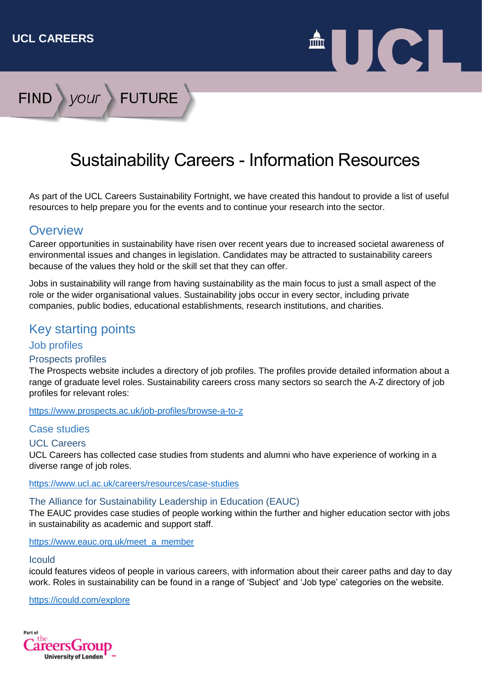

# FIND your FUTURE

# Sustainability Careers - Information Resources

As part of the UCL Careers Sustainability Fortnight, we have created this handout to provide a list of useful resources to help prepare you for the events and to continue your research into the sector.

### **Overview**

Career opportunities in sustainability have risen over recent years due to increased societal awareness of environmental issues and changes in legislation. Candidates may be attracted to sustainability careers because of the values they hold or the skill set that they can offer.

Jobs in sustainability will range from having sustainability as the main focus to just a small aspect of the role or the wider organisational values. Sustainability jobs occur in every sector, including private companies, public bodies, educational establishments, research institutions, and charities.

## Key starting points

#### Job profiles

#### Prospects profiles

The Prospects website includes a directory of job profiles. The profiles provide detailed information about a range of graduate level roles. Sustainability careers cross many sectors so search the A-Z directory of job profiles for relevant roles:

<https://www.prospects.ac.uk/job-profiles/browse-a-to-z>

#### Case studies

#### UCL Careers

UCL Careers has collected case studies from students and alumni who have experience of working in a diverse range of job roles.

<https://www.ucl.ac.uk/careers/resources/case-studies>

#### The Alliance for Sustainability Leadership in Education (EAUC)

The EAUC provides case studies of people working within the further and higher education sector with jobs in sustainability as academic and support staff.

[https://www.eauc.org.uk/meet\\_a\\_member](https://www.eauc.org.uk/meet_a_member)

#### Icould

icould features videos of people in various careers, with information about their career paths and day to day work. Roles in sustainability can be found in a range of 'Subject' and 'Job type' categories on the website.

<https://icould.com/explore>

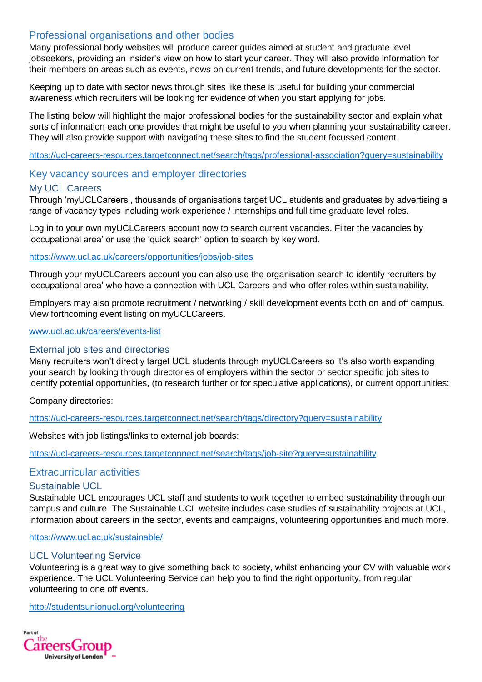#### Professional organisations and other bodies

Many professional body websites will produce career guides aimed at student and graduate level jobseekers, providing an insider's view on how to start your career. They will also provide information for their members on areas such as events, news on current trends, and future developments for the sector.

Keeping up to date with sector news through sites like these is useful for building your commercial awareness which recruiters will be looking for evidence of when you start applying for jobs.

The listing below will highlight the major professional bodies for the sustainability sector and explain what sorts of information each one provides that might be useful to you when planning your sustainability career. They will also provide support with navigating these sites to find the student focussed content.

<https://ucl-careers-resources.targetconnect.net/search/tags/professional-association?query=sustainability>

#### Key vacancy sources and employer directories

#### My UCL Careers

Through 'myUCLCareers', thousands of organisations target UCL students and graduates by advertising a range of vacancy types including work experience / internships and full time graduate level roles.

Log in to your own myUCLCareers account now to search current vacancies. Filter the vacancies by 'occupational area' or use the 'quick search' option to search by key word.

<https://www.ucl.ac.uk/careers/opportunities/jobs/job-sites>

Through your myUCLCareers account you can also use the organisation search to identify recruiters by 'occupational area' who have a connection with UCL Careers and who offer roles within sustainability.

Employers may also promote recruitment / networking / skill development events both on and off campus. View forthcoming event listing on myUCLCareers.

#### [www.ucl.ac.uk/careers/events-list](http://www.ucl.ac.uk/careers/events-list)

#### External job sites and directories

Many recruiters won't directly target UCL students through myUCLCareers so it's also worth expanding your search by looking through directories of employers within the sector or sector specific job sites to identify potential opportunities, (to research further or for speculative applications), or current opportunities:

Company directories:

<https://ucl-careers-resources.targetconnect.net/search/tags/directory?query=sustainability>

Websites with job listings/links to external job boards:

<https://ucl-careers-resources.targetconnect.net/search/tags/job-site?query=sustainability>

#### Extracurricular activities

#### Sustainable UCL

Sustainable UCL encourages UCL staff and students to work together to embed sustainability through our campus and culture. The Sustainable UCL website includes case studies of sustainability projects at UCL, information about careers in the sector, events and campaigns, volunteering opportunities and much more.

<https://www.ucl.ac.uk/sustainable/>

#### UCL Volunteering Service

Volunteering is a great way to give something back to society, whilst enhancing your CV with valuable work experience. The UCL Volunteering Service can help you to find the right opportunity, from regular volunteering to one off events.

<http://studentsunionucl.org/volunteering>